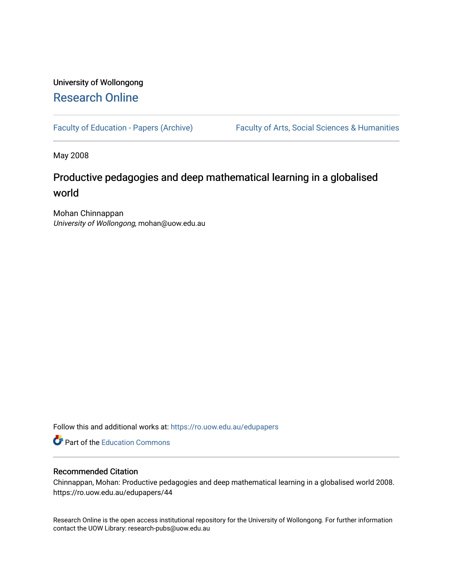# University of Wollongong [Research Online](https://ro.uow.edu.au/)

[Faculty of Education - Papers \(Archive\)](https://ro.uow.edu.au/edupapers) Faculty of Arts, Social Sciences & Humanities

May 2008

# Productive pedagogies and deep mathematical learning in a globalised world

Mohan Chinnappan University of Wollongong, mohan@uow.edu.au

Follow this and additional works at: [https://ro.uow.edu.au/edupapers](https://ro.uow.edu.au/edupapers?utm_source=ro.uow.edu.au%2Fedupapers%2F44&utm_medium=PDF&utm_campaign=PDFCoverPages) 

**P** Part of the [Education Commons](http://network.bepress.com/hgg/discipline/784?utm_source=ro.uow.edu.au%2Fedupapers%2F44&utm_medium=PDF&utm_campaign=PDFCoverPages)

# Recommended Citation

Chinnappan, Mohan: Productive pedagogies and deep mathematical learning in a globalised world 2008. https://ro.uow.edu.au/edupapers/44

Research Online is the open access institutional repository for the University of Wollongong. For further information contact the UOW Library: research-pubs@uow.edu.au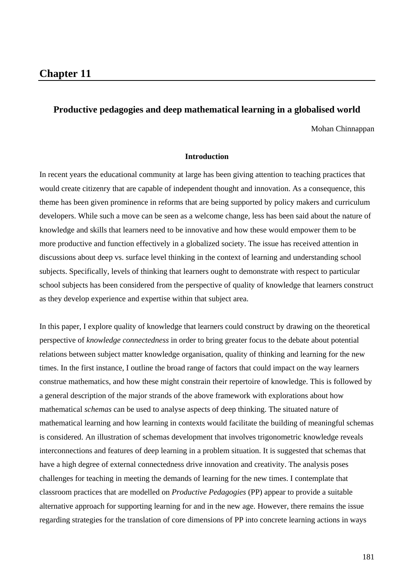# **Productive pedagogies and deep mathematical learning in a globalised world**

Mohan Chinnappan

#### **Introduction**

In recent years the educational community at large has been giving attention to teaching practices that would create citizenry that are capable of independent thought and innovation. As a consequence, this theme has been given prominence in reforms that are being supported by policy makers and curriculum developers. While such a move can be seen as a welcome change, less has been said about the nature of knowledge and skills that learners need to be innovative and how these would empower them to be more productive and function effectively in a globalized society. The issue has received attention in discussions about deep vs. surface level thinking in the context of learning and understanding school subjects. Specifically, levels of thinking that learners ought to demonstrate with respect to particular school subjects has been considered from the perspective of quality of knowledge that learners construct as they develop experience and expertise within that subject area.

In this paper, I explore quality of knowledge that learners could construct by drawing on the theoretical perspective of *knowledge connectedness* in order to bring greater focus to the debate about potential relations between subject matter knowledge organisation, quality of thinking and learning for the new times. In the first instance, I outline the broad range of factors that could impact on the way learners construe mathematics, and how these might constrain their repertoire of knowledge. This is followed by a general description of the major strands of the above framework with explorations about how mathematical *schemas* can be used to analyse aspects of deep thinking. The situated nature of mathematical learning and how learning in contexts would facilitate the building of meaningful schemas is considered. An illustration of schemas development that involves trigonometric knowledge reveals interconnections and features of deep learning in a problem situation. It is suggested that schemas that have a high degree of external connectedness drive innovation and creativity. The analysis poses challenges for teaching in meeting the demands of learning for the new times. I contemplate that classroom practices that are modelled on *Productive Pedagogies* (PP) appear to provide a suitable alternative approach for supporting learning for and in the new age. However, there remains the issue regarding strategies for the translation of core dimensions of PP into concrete learning actions in ways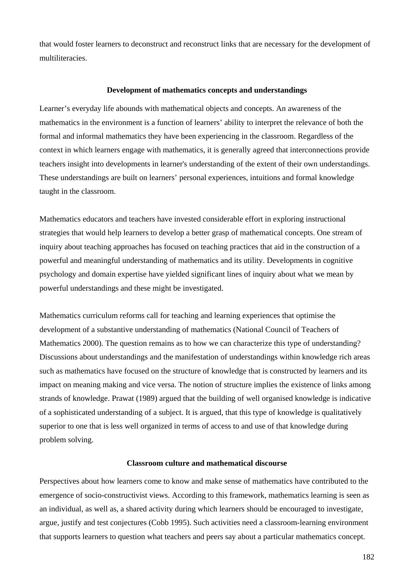that would foster learners to deconstruct and reconstruct links that are necessary for the development of multiliteracies.

#### **Development of mathematics concepts and understandings**

Learner's everyday life abounds with mathematical objects and concepts. An awareness of the mathematics in the environment is a function of learners' ability to interpret the relevance of both the formal and informal mathematics they have been experiencing in the classroom. Regardless of the context in which learners engage with mathematics, it is generally agreed that interconnections provide teachers insight into developments in learner's understanding of the extent of their own understandings. These understandings are built on learners' personal experiences, intuitions and formal knowledge taught in the classroom.

Mathematics educators and teachers have invested considerable effort in exploring instructional strategies that would help learners to develop a better grasp of mathematical concepts. One stream of inquiry about teaching approaches has focused on teaching practices that aid in the construction of a powerful and meaningful understanding of mathematics and its utility. Developments in cognitive psychology and domain expertise have yielded significant lines of inquiry about what we mean by powerful understandings and these might be investigated.

Mathematics curriculum reforms call for teaching and learning experiences that optimise the development of a substantive understanding of mathematics (National Council of Teachers of Mathematics 2000). The question remains as to how we can characterize this type of understanding? Discussions about understandings and the manifestation of understandings within knowledge rich areas such as mathematics have focused on the structure of knowledge that is constructed by learners and its impact on meaning making and vice versa. The notion of structure implies the existence of links among strands of knowledge. Prawat (1989) argued that the building of well organised knowledge is indicative of a sophisticated understanding of a subject. It is argued, that this type of knowledge is qualitatively superior to one that is less well organized in terms of access to and use of that knowledge during problem solving.

# **Classroom culture and mathematical discourse**

Perspectives about how learners come to know and make sense of mathematics have contributed to the emergence of socio-constructivist views. According to this framework, mathematics learning is seen as an individual, as well as, a shared activity during which learners should be encouraged to investigate, argue, justify and test conjectures (Cobb 1995). Such activities need a classroom-learning environment that supports learners to question what teachers and peers say about a particular mathematics concept.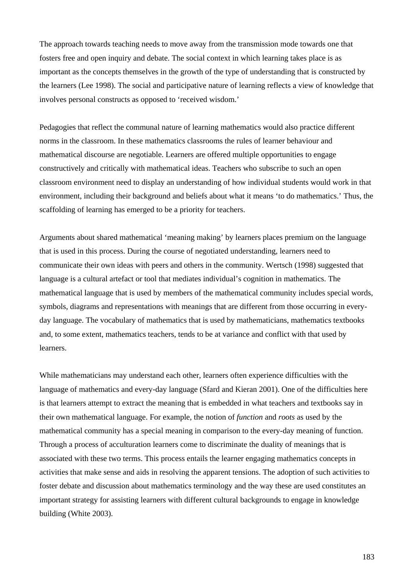The approach towards teaching needs to move away from the transmission mode towards one that fosters free and open inquiry and debate. The social context in which learning takes place is as important as the concepts themselves in the growth of the type of understanding that is constructed by the learners (Lee 1998). The social and participative nature of learning reflects a view of knowledge that involves personal constructs as opposed to 'received wisdom.'

Pedagogies that reflect the communal nature of learning mathematics would also practice different norms in the classroom. In these mathematics classrooms the rules of learner behaviour and mathematical discourse are negotiable. Learners are offered multiple opportunities to engage constructively and critically with mathematical ideas. Teachers who subscribe to such an open classroom environment need to display an understanding of how individual students would work in that environment, including their background and beliefs about what it means 'to do mathematics.' Thus, the scaffolding of learning has emerged to be a priority for teachers.

Arguments about shared mathematical 'meaning making' by learners places premium on the language that is used in this process. During the course of negotiated understanding, learners need to communicate their own ideas with peers and others in the community. Wertsch (1998) suggested that language is a cultural artefact or tool that mediates individual's cognition in mathematics. The mathematical language that is used by members of the mathematical community includes special words, symbols, diagrams and representations with meanings that are different from those occurring in everyday language. The vocabulary of mathematics that is used by mathematicians, mathematics textbooks and, to some extent, mathematics teachers, tends to be at variance and conflict with that used by learners.

While mathematicians may understand each other, learners often experience difficulties with the language of mathematics and every-day language (Sfard and Kieran 2001). One of the difficulties here is that learners attempt to extract the meaning that is embedded in what teachers and textbooks say in their own mathematical language. For example, the notion of *function* and *roots* as used by the mathematical community has a special meaning in comparison to the every-day meaning of function. Through a process of acculturation learners come to discriminate the duality of meanings that is associated with these two terms. This process entails the learner engaging mathematics concepts in activities that make sense and aids in resolving the apparent tensions. The adoption of such activities to foster debate and discussion about mathematics terminology and the way these are used constitutes an important strategy for assisting learners with different cultural backgrounds to engage in knowledge building (White 2003).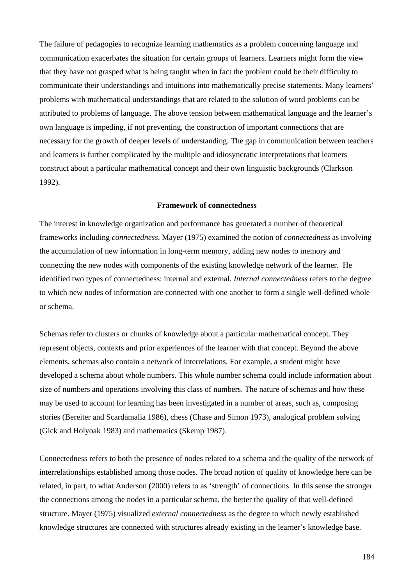The failure of pedagogies to recognize learning mathematics as a problem concerning language and communication exacerbates the situation for certain groups of learners. Learners might form the view that they have not grasped what is being taught when in fact the problem could be their difficulty to communicate their understandings and intuitions into mathematically precise statements. Many learners' problems with mathematical understandings that are related to the solution of word problems can be attributed to problems of language. The above tension between mathematical language and the learner's own language is impeding, if not preventing, the construction of important connections that are necessary for the growth of deeper levels of understanding. The gap in communication between teachers and learners is further complicated by the multiple and idiosyncratic interpretations that learners construct about a particular mathematical concept and their own linguistic backgrounds (Clarkson 1992).

#### **Framework of connectedness**

The interest in knowledge organization and performance has generated a number of theoretical frameworks including *connectedness*. Mayer (1975) examined the notion of *connectedness* as involving the accumulation of new information in long-term memory, adding new nodes to memory and connecting the new nodes with components of the existing knowledge network of the learner. He identified two types of connectedness: internal and external. *Internal connectedness* refers to the degree to which new nodes of information are connected with one another to form a single well-defined whole or schema.

Schemas refer to clusters or chunks of knowledge about a particular mathematical concept. They represent objects, contexts and prior experiences of the learner with that concept. Beyond the above elements, schemas also contain a network of interrelations. For example, a student might have developed a schema about whole numbers. This whole number schema could include information about size of numbers and operations involving this class of numbers. The nature of schemas and how these may be used to account for learning has been investigated in a number of areas, such as, composing stories (Bereiter and Scardamalia 1986), chess (Chase and Simon 1973), analogical problem solving (Gick and Holyoak 1983) and mathematics (Skemp 1987).

Connectedness refers to both the presence of nodes related to a schema and the quality of the network of interrelationships established among those nodes. The broad notion of quality of knowledge here can be related, in part, to what Anderson (2000) refers to as 'strength' of connections. In this sense the stronger the connections among the nodes in a particular schema, the better the quality of that well-defined structure. Mayer (1975) visualized *external connectedness* as the degree to which newly established knowledge structures are connected with structures already existing in the learner's knowledge base.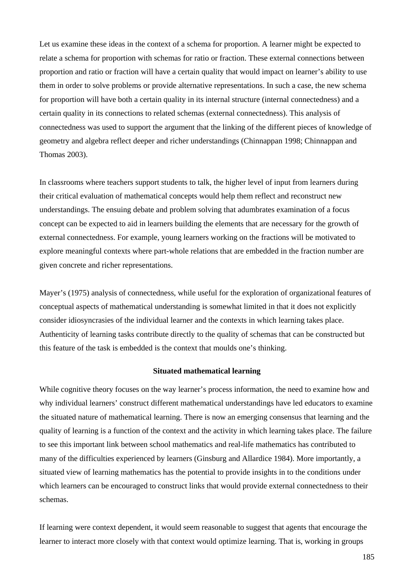Let us examine these ideas in the context of a schema for proportion. A learner might be expected to relate a schema for proportion with schemas for ratio or fraction. These external connections between proportion and ratio or fraction will have a certain quality that would impact on learner's ability to use them in order to solve problems or provide alternative representations. In such a case, the new schema for proportion will have both a certain quality in its internal structure (internal connectedness) and a certain quality in its connections to related schemas (external connectedness). This analysis of connectedness was used to support the argument that the linking of the different pieces of knowledge of geometry and algebra reflect deeper and richer understandings (Chinnappan 1998; Chinnappan and Thomas 2003).

In classrooms where teachers support students to talk, the higher level of input from learners during their critical evaluation of mathematical concepts would help them reflect and reconstruct new understandings. The ensuing debate and problem solving that adumbrates examination of a focus concept can be expected to aid in learners building the elements that are necessary for the growth of external connectedness. For example, young learners working on the fractions will be motivated to explore meaningful contexts where part-whole relations that are embedded in the fraction number are given concrete and richer representations.

Mayer's (1975) analysis of connectedness, while useful for the exploration of organizational features of conceptual aspects of mathematical understanding is somewhat limited in that it does not explicitly consider idiosyncrasies of the individual learner and the contexts in which learning takes place. Authenticity of learning tasks contribute directly to the quality of schemas that can be constructed but this feature of the task is embedded is the context that moulds one's thinking.

# **Situated mathematical learning**

While cognitive theory focuses on the way learner's process information, the need to examine how and why individual learners' construct different mathematical understandings have led educators to examine the situated nature of mathematical learning. There is now an emerging consensus that learning and the quality of learning is a function of the context and the activity in which learning takes place. The failure to see this important link between school mathematics and real-life mathematics has contributed to many of the difficulties experienced by learners (Ginsburg and Allardice 1984). More importantly, a situated view of learning mathematics has the potential to provide insights in to the conditions under which learners can be encouraged to construct links that would provide external connectedness to their schemas.

If learning were context dependent, it would seem reasonable to suggest that agents that encourage the learner to interact more closely with that context would optimize learning. That is, working in groups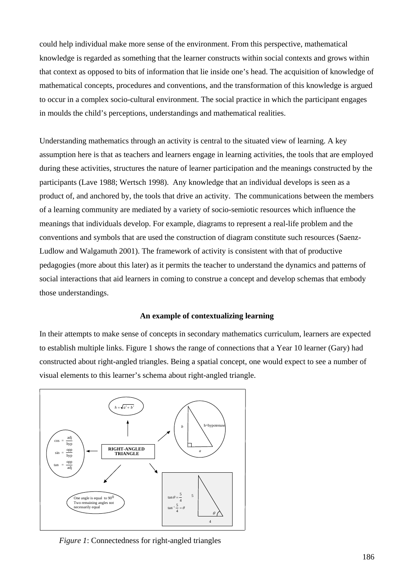could help individual make more sense of the environment. From this perspective, mathematical knowledge is regarded as something that the learner constructs within social contexts and grows within that context as opposed to bits of information that lie inside one's head. The acquisition of knowledge of mathematical concepts, procedures and conventions, and the transformation of this knowledge is argued to occur in a complex socio-cultural environment. The social practice in which the participant engages in moulds the child's perceptions, understandings and mathematical realities.

Understanding mathematics through an activity is central to the situated view of learning. A key assumption here is that as teachers and learners engage in learning activities, the tools that are employed during these activities, structures the nature of learner participation and the meanings constructed by the participants (Lave 1988; Wertsch 1998). Any knowledge that an individual develops is seen as a product of, and anchored by, the tools that drive an activity. The communications between the members of a learning community are mediated by a variety of socio-semiotic resources which influence the meanings that individuals develop. For example, diagrams to represent a real-life problem and the conventions and symbols that are used the construction of diagram constitute such resources (Saenz-Ludlow and Walgamuth 2001). The framework of activity is consistent with that of productive pedagogies (more about this later) as it permits the teacher to understand the dynamics and patterns of social interactions that aid learners in coming to construe a concept and develop schemas that embody those understandings.

#### **An example of contextualizing learning**

In their attempts to make sense of concepts in secondary mathematics curriculum, learners are expected to establish multiple links. Figure 1 shows the range of connections that a Year 10 learner (Gary) had constructed about right-angled triangles. Being a spatial concept, one would expect to see a number of visual elements to this learner's schema about right-angled triangle.



*Figure 1*: Connectedness for right-angled triangles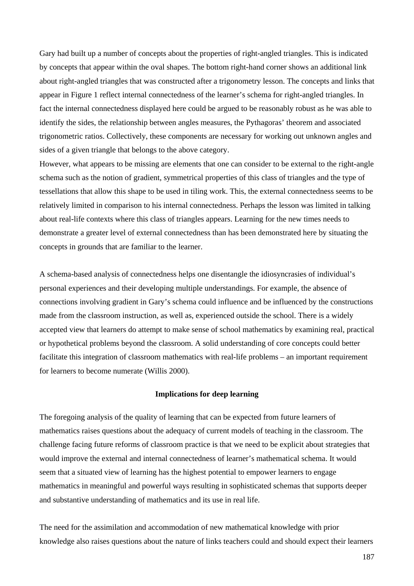Gary had built up a number of concepts about the properties of right-angled triangles. This is indicated by concepts that appear within the oval shapes. The bottom right-hand corner shows an additional link about right-angled triangles that was constructed after a trigonometry lesson. The concepts and links that appear in Figure 1 reflect internal connectedness of the learner's schema for right-angled triangles. In fact the internal connectedness displayed here could be argued to be reasonably robust as he was able to identify the sides, the relationship between angles measures, the Pythagoras' theorem and associated trigonometric ratios. Collectively, these components are necessary for working out unknown angles and sides of a given triangle that belongs to the above category.

However, what appears to be missing are elements that one can consider to be external to the right-angle schema such as the notion of gradient, symmetrical properties of this class of triangles and the type of tessellations that allow this shape to be used in tiling work. This, the external connectedness seems to be relatively limited in comparison to his internal connectedness. Perhaps the lesson was limited in talking about real-life contexts where this class of triangles appears. Learning for the new times needs to demonstrate a greater level of external connectedness than has been demonstrated here by situating the concepts in grounds that are familiar to the learner.

A schema-based analysis of connectedness helps one disentangle the idiosyncrasies of individual's personal experiences and their developing multiple understandings. For example, the absence of connections involving gradient in Gary's schema could influence and be influenced by the constructions made from the classroom instruction, as well as, experienced outside the school. There is a widely accepted view that learners do attempt to make sense of school mathematics by examining real, practical or hypothetical problems beyond the classroom. A solid understanding of core concepts could better facilitate this integration of classroom mathematics with real-life problems – an important requirement for learners to become numerate (Willis 2000).

# **Implications for deep learning**

The foregoing analysis of the quality of learning that can be expected from future learners of mathematics raises questions about the adequacy of current models of teaching in the classroom. The challenge facing future reforms of classroom practice is that we need to be explicit about strategies that would improve the external and internal connectedness of learner's mathematical schema. It would seem that a situated view of learning has the highest potential to empower learners to engage mathematics in meaningful and powerful ways resulting in sophisticated schemas that supports deeper and substantive understanding of mathematics and its use in real life.

The need for the assimilation and accommodation of new mathematical knowledge with prior knowledge also raises questions about the nature of links teachers could and should expect their learners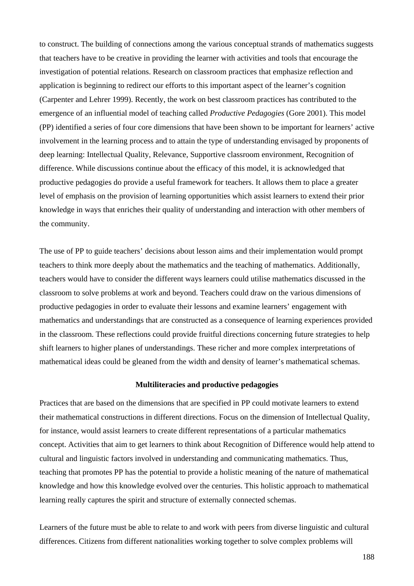to construct. The building of connections among the various conceptual strands of mathematics suggests that teachers have to be creative in providing the learner with activities and tools that encourage the investigation of potential relations. Research on classroom practices that emphasize reflection and application is beginning to redirect our efforts to this important aspect of the learner's cognition (Carpenter and Lehrer 1999). Recently, the work on best classroom practices has contributed to the emergence of an influential model of teaching called *Productive Pedagogies* (Gore 2001). This model (PP) identified a series of four core dimensions that have been shown to be important for learners' active involvement in the learning process and to attain the type of understanding envisaged by proponents of deep learning: Intellectual Quality, Relevance, Supportive classroom environment, Recognition of difference. While discussions continue about the efficacy of this model, it is acknowledged that productive pedagogies do provide a useful framework for teachers. It allows them to place a greater level of emphasis on the provision of learning opportunities which assist learners to extend their prior knowledge in ways that enriches their quality of understanding and interaction with other members of the community.

The use of PP to guide teachers' decisions about lesson aims and their implementation would prompt teachers to think more deeply about the mathematics and the teaching of mathematics. Additionally, teachers would have to consider the different ways learners could utilise mathematics discussed in the classroom to solve problems at work and beyond. Teachers could draw on the various dimensions of productive pedagogies in order to evaluate their lessons and examine learners' engagement with mathematics and understandings that are constructed as a consequence of learning experiences provided in the classroom. These reflections could provide fruitful directions concerning future strategies to help shift learners to higher planes of understandings. These richer and more complex interpretations of mathematical ideas could be gleaned from the width and density of learner's mathematical schemas.

## **Multiliteracies and productive pedagogies**

Practices that are based on the dimensions that are specified in PP could motivate learners to extend their mathematical constructions in different directions. Focus on the dimension of Intellectual Quality, for instance, would assist learners to create different representations of a particular mathematics concept. Activities that aim to get learners to think about Recognition of Difference would help attend to cultural and linguistic factors involved in understanding and communicating mathematics. Thus, teaching that promotes PP has the potential to provide a holistic meaning of the nature of mathematical knowledge and how this knowledge evolved over the centuries. This holistic approach to mathematical learning really captures the spirit and structure of externally connected schemas.

Learners of the future must be able to relate to and work with peers from diverse linguistic and cultural differences. Citizens from different nationalities working together to solve complex problems will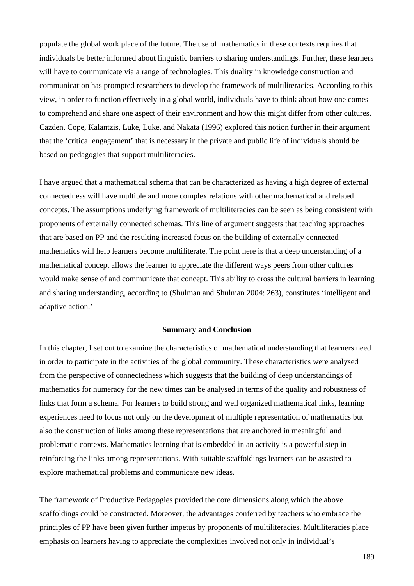populate the global work place of the future. The use of mathematics in these contexts requires that individuals be better informed about linguistic barriers to sharing understandings. Further, these learners will have to communicate via a range of technologies. This duality in knowledge construction and communication has prompted researchers to develop the framework of multiliteracies. According to this view, in order to function effectively in a global world, individuals have to think about how one comes to comprehend and share one aspect of their environment and how this might differ from other cultures. Cazden, Cope, Kalantzis, Luke, Luke, and Nakata (1996) explored this notion further in their argument that the 'critical engagement' that is necessary in the private and public life of individuals should be based on pedagogies that support multiliteracies.

I have argued that a mathematical schema that can be characterized as having a high degree of external connectedness will have multiple and more complex relations with other mathematical and related concepts. The assumptions underlying framework of multiliteracies can be seen as being consistent with proponents of externally connected schemas. This line of argument suggests that teaching approaches that are based on PP and the resulting increased focus on the building of externally connected mathematics will help learners become multiliterate. The point here is that a deep understanding of a mathematical concept allows the learner to appreciate the different ways peers from other cultures would make sense of and communicate that concept. This ability to cross the cultural barriers in learning and sharing understanding, according to (Shulman and Shulman 2004: 263), constitutes 'intelligent and adaptive action.'

#### **Summary and Conclusion**

In this chapter, I set out to examine the characteristics of mathematical understanding that learners need in order to participate in the activities of the global community. These characteristics were analysed from the perspective of connectedness which suggests that the building of deep understandings of mathematics for numeracy for the new times can be analysed in terms of the quality and robustness of links that form a schema. For learners to build strong and well organized mathematical links, learning experiences need to focus not only on the development of multiple representation of mathematics but also the construction of links among these representations that are anchored in meaningful and problematic contexts. Mathematics learning that is embedded in an activity is a powerful step in reinforcing the links among representations. With suitable scaffoldings learners can be assisted to explore mathematical problems and communicate new ideas.

The framework of Productive Pedagogies provided the core dimensions along which the above scaffoldings could be constructed. Moreover, the advantages conferred by teachers who embrace the principles of PP have been given further impetus by proponents of multiliteracies. Multiliteracies place emphasis on learners having to appreciate the complexities involved not only in individual's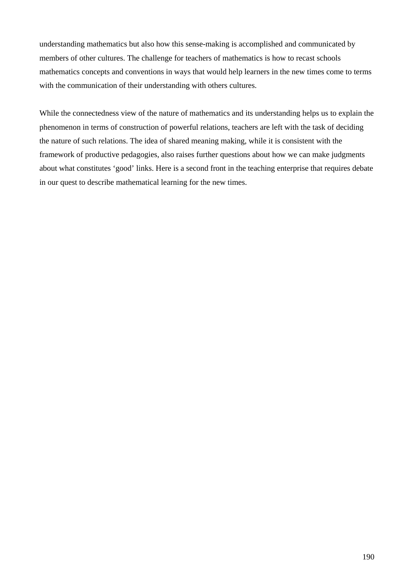understanding mathematics but also how this sense-making is accomplished and communicated by members of other cultures. The challenge for teachers of mathematics is how to recast schools mathematics concepts and conventions in ways that would help learners in the new times come to terms with the communication of their understanding with others cultures.

While the connectedness view of the nature of mathematics and its understanding helps us to explain the phenomenon in terms of construction of powerful relations, teachers are left with the task of deciding the nature of such relations. The idea of shared meaning making, while it is consistent with the framework of productive pedagogies, also raises further questions about how we can make judgments about what constitutes 'good' links. Here is a second front in the teaching enterprise that requires debate in our quest to describe mathematical learning for the new times.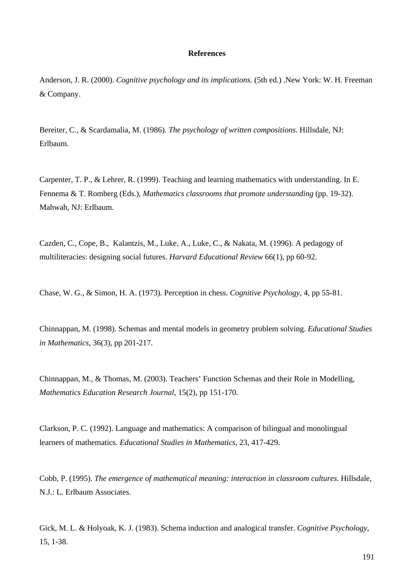# **References**

Anderson, J. R. (2000). *Cognitive psychology and its implications.* (5th ed.) .New York: W. H. Freeman & Company.

Bereiter, C., & Scardamalia, M. (1986). *The psychology of written compositions*. Hillsdale, NJ: Erlbaum.

Carpenter, T. P., & Lehrer, R. (1999). Teaching and learning mathematics with understanding. In E. Fennema & T. Romberg (Eds.), *Mathematics classrooms that promote understanding* (pp. 19-32). Mahwah, NJ: Erlbaum.

Cazden, C., Cope, B., Kalantzis, M., Luke, A., Luke, C., & Nakata, M. (1996). A pedagogy of multiliteracies: designing social futures. *Harvard Educational Review* 66(1), pp 60-92.

Chase, W. G., & Simon, H. A. (1973). Perception in chess. *Cognitive Psychology*, 4, pp 55-81.

Chinnappan, M. (1998). Schemas and mental models in geometry problem solving. *Educational Studies in Mathematics,* 36(3), pp 201-217.

Chinnappan, M., & Thomas, M. (2003). Teachers' Function Schemas and their Role in Modelling, *Mathematics Education Research Journal*, 15(2), pp 151-170.

Clarkson, P. C. (1992). Language and mathematics: A comparison of bilingual and monolingual learners of mathematics. *Educational Studies in Mathematics*, 23, 417-429.

Cobb, P. (1995). *The emergence of mathematical meaning: interaction in classroom cultures.* Hillsdale, N.J.: L. Erlbaum Associates.

Gick, M. L. & Holyoak, K. J. (1983). Schema induction and analogical transfer. *Cognitive Psychology*, 15, 1-38.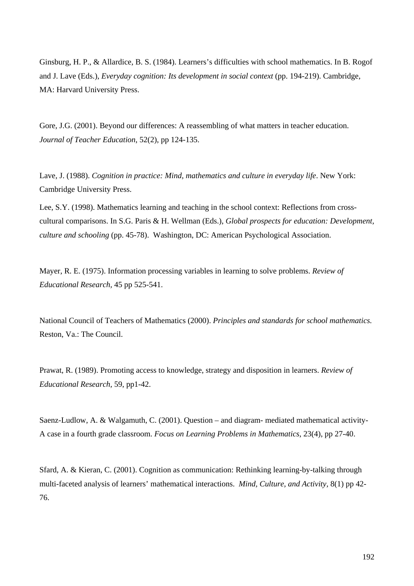Ginsburg, H. P., & Allardice, B. S. (1984). Learners's difficulties with school mathematics. In B. Rogof and J. Lave (Eds.), *Everyday cognition: Its development in social context* (pp. 194-219). Cambridge, MA: Harvard University Press.

Gore, J.G. (2001). Beyond our differences: A reassembling of what matters in teacher education. *Journal of Teacher Education*, 52(2), pp 124-135.

Lave, J. (1988). *Cognition in practice: Mind, mathematics and culture in everyday life*. New York: Cambridge University Press.

Lee, S.Y. (1998). Mathematics learning and teaching in the school context: Reflections from crosscultural comparisons. In S.G. Paris & H. Wellman (Eds.), *Global prospects for education: Development, culture and schooling* (pp. 45-78). Washington, DC: American Psychological Association.

Mayer, R. E. (1975). Information processing variables in learning to solve problems. *Review of Educational Research,* 45 pp 525-541.

National Council of Teachers of Mathematics (2000). *Principles and standards for school mathematics.*  Reston, Va.: The Council.

Prawat, R. (1989). Promoting access to knowledge, strategy and disposition in learners. *Review of Educational Research,* 59, pp1-42.

Saenz-Ludlow, A. & Walgamuth, C. (2001). Question – and diagram- mediated mathematical activity-A case in a fourth grade classroom. *Focus on Learning Problems in Mathematics*, 23(4), pp 27-40.

Sfard, A. & Kieran, C. (2001). Cognition as communication: Rethinking learning-by-talking through multi-faceted analysis of learners' mathematical interactions. *Mind, Culture, and Activity,* 8(1) pp 42- 76.